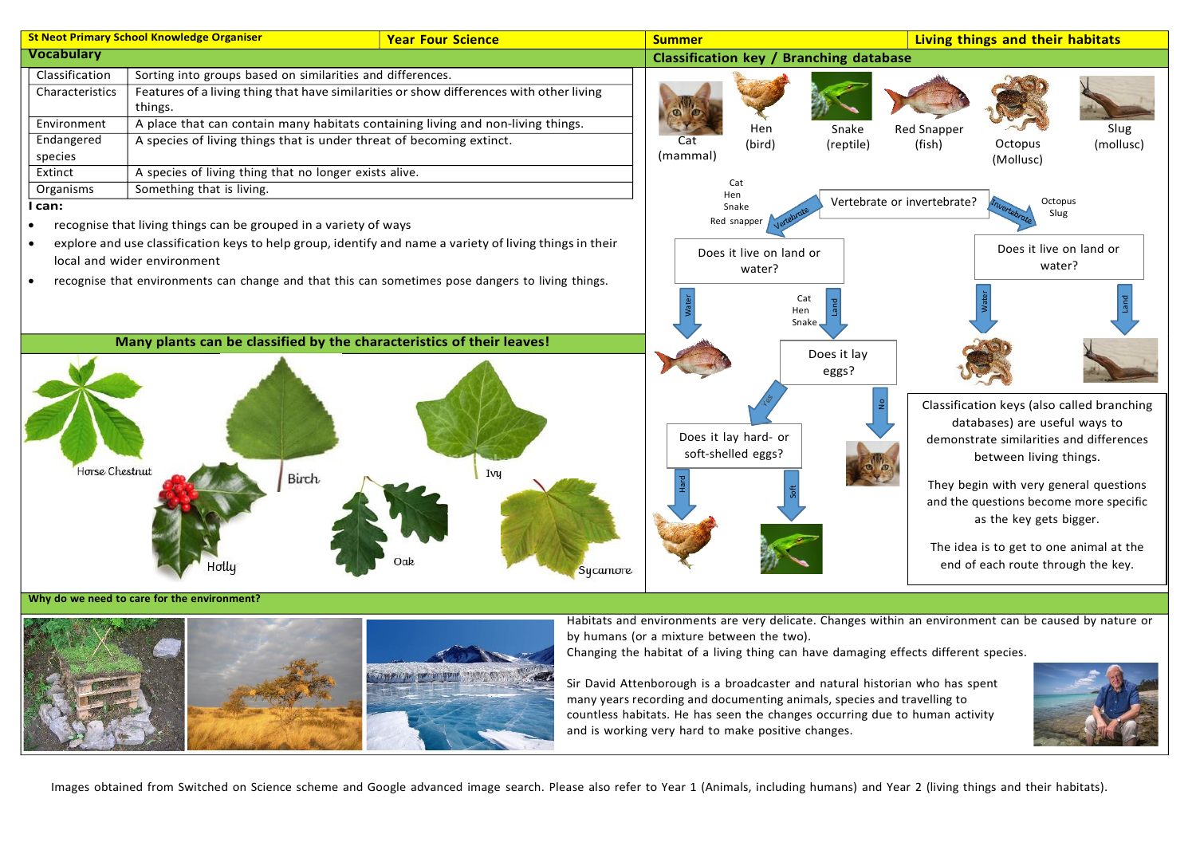

Why do we need to care for the environment?



Habitats and environments are very delicate. Changes within an environment can be caused by nature or by humans (or a mixture between the two).

Changing the habitat of a living thing can have damaging effects different species.

Sir David Attenborough is a broadcaster and natural historian who has spent many years recording and documenting animals, species and travelling to countless habitats. He has seen the changes occurring due to human activity and is working very hard to make positive changes.



Images obtained from Switched on Science scheme and Google advanced image search. Please also refer to Year 1 (Animals, including humans) and Year 2 (living things and their habitats).